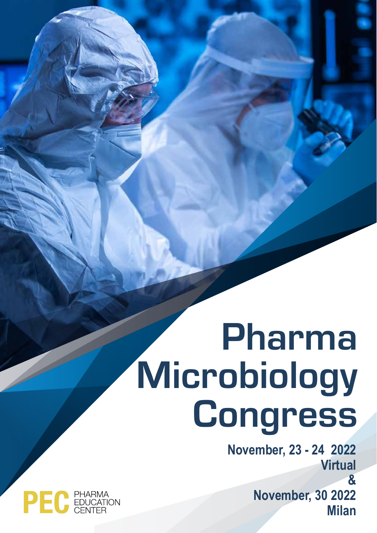# Pharma Microbiology **Congress**

**November, 23 - 24 2022 Virtual & November, 30 2022 Milan**

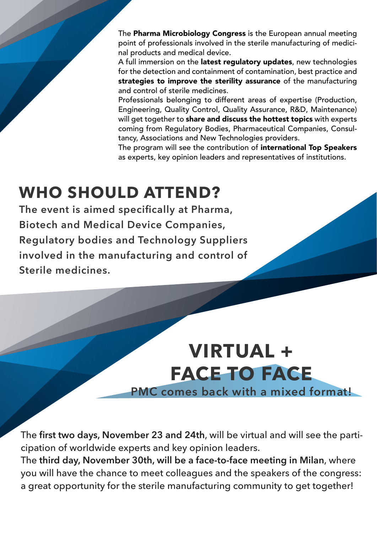The Pharma Microbiology Congress is the European annual meeting point of professionals involved in the sterile manufacturing of medicinal products and medical device.

A full immersion on the latest regulatory updates, new technologies for the detection and containment of contamination, best practice and strategies to improve the sterility assurance of the manufacturing and control of sterile medicines.

Professionals belonging to different areas of expertise (Production, Engineering, Quality Control, Quality Assurance, R&D, Maintenance) will get together to share and discuss the hottest topics with experts coming from Regulatory Bodies, Pharmaceutical Companies, Consultancy, Associations and New Technologies providers.

The program will see the contribution of international Top Speakers as experts, key opinion leaders and representatives of institutions.

## **WHO SHOULD ATTEND?**

**The event is aimed specifically at Pharma, Biotech and Medical Device Companies, Regulatory bodies and Technology Suppliers involved in the manufacturing and control of Sterile medicines.**

## **VIRTUAL + FACE TO FACE PMC comes back with a mixed format!**

The **first two days, November 23 and 24th**, will be virtual and will see the participation of worldwide experts and key opinion leaders.

The **third day, November 30th, will be a face-to-face meeting in Milan**, where you will have the chance to meet colleagues and the speakers of the congress: a great opportunity for the sterile manufacturing community to get together!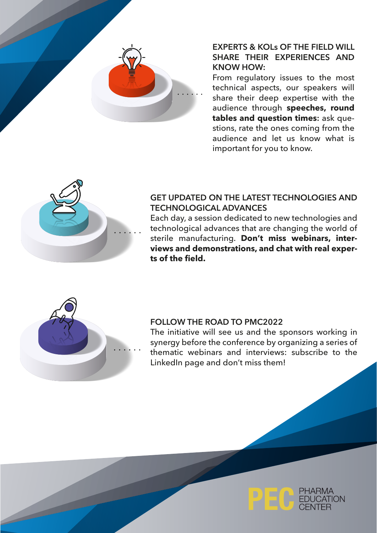

### **EXPERTS & KOLs OF THE FIELD WILL SHARE THEIR EXPERIENCES AND KNOW HOW:**

From regulatory issues to the most technical aspects, our speakers will share their deep expertise with the audience through **speeches, round tables and question times:** ask questions, rate the ones coming from the audience and let us know what is important for you to know.



### **GET UPDATED ON THE LATEST TECHNOLOGIES AND TECHNOLOGICAL ADVANCES**

Each day, a session dedicated to new technologies and technological advances that are changing the world of sterile manufacturing. **Don't miss webinars, interviews and demonstrations, and chat with real experts of the field.**



#### **FOLLOW THE ROAD TO PMC2022**

The initiative will see us and the sponsors working in synergy before the conference by organizing a series of thematic webinars and interviews: subscribe to the LinkedIn page and don't miss them!

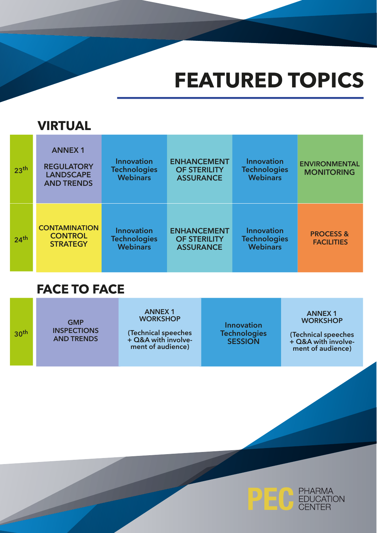## **FEATURED TOPICS**

## **VIRTUAL**

| 23 <sup>th</sup> | <b>ANNEX1</b><br><b>REGULATORY</b><br><b>LANDSCAPE</b><br><b>AND TRENDS</b> | <b>Innovation</b><br><b>Technologies</b><br><b>Webinars</b> | <b>ENHANCEMENT</b><br><b>OF STERILITY</b><br><b>ASSURANCE</b> | <b>Innovation</b><br><b>Technologies</b><br><b>Webinars</b> | <b>ENVIRONMENTAL</b><br><b>MONITORING</b> |
|------------------|-----------------------------------------------------------------------------|-------------------------------------------------------------|---------------------------------------------------------------|-------------------------------------------------------------|-------------------------------------------|
| 24 <sup>th</sup> | <b>CONTAMINATION</b><br><b>CONTROL</b><br><b>STRATEGY</b>                   | <b>Innovation</b><br><b>Technologies</b><br><b>Webinars</b> | <b>ENHANCEMENT</b><br><b>OF STERILITY</b><br><b>ASSURANCE</b> | Innovation<br><b>Technologies</b><br><b>Webinars</b>        | <b>PROCESS &amp;</b><br><b>FACILITIES</b> |

## **FACE TO FACE**

22

| 30 <sup>th</sup> | <b>GMP</b><br><b>INSPECTIONS</b><br><b>AND TRENDS</b> | <b>ANNEX1</b><br><b>WORKSHOP</b><br>(Technical speeches<br>+ Q&A with involve-<br>ment of audience) | <b>Innovation</b><br><b>Technologies</b><br><b>SESSION</b> | <b>ANNEX1</b><br><b>WORKSHOP</b><br>(Technical speeches<br>+ Q&A with involve-<br>ment of audience) |
|------------------|-------------------------------------------------------|-----------------------------------------------------------------------------------------------------|------------------------------------------------------------|-----------------------------------------------------------------------------------------------------|
|                  |                                                       |                                                                                                     |                                                            |                                                                                                     |

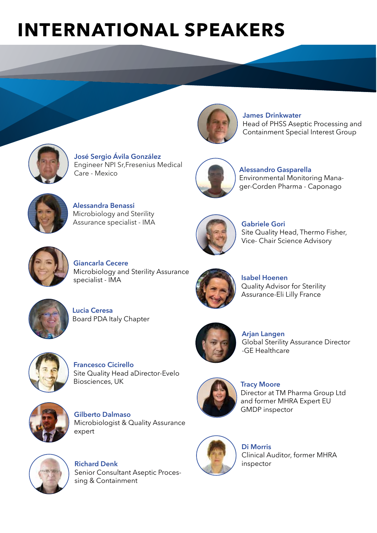## **INTERNATIONAL SPEAKERS**



**José Sergio Ávila González** Engineer NPI Sr,Fresenius Medical Care - Mexico



**James Drinkwater** Head of PHSS Aseptic Processing and Containment Special Interest Group



**Alessandro Gasparella** Environmental Monitoring Manager-Corden Pharma - Caponago



**Alessandra Benassi** Microbiology and Sterility Assurance specialist - IMA



**Gabriele Gori** Site Quality Head, Thermo Fisher, Vice- Chair Science Advisory



**Giancarla Cecere** Microbiology and Sterility Assurance specialist - IMA



**Lucia Ceresa** Board PDA Italy Chapter



Quality Advisor for Sterility Assurance-Eli Lilly France

Global Sterility Assurance Director

Director at TM Pharma Group Ltd and former MHRA Expert EU

**Isabel Hoenen**

**Arjan Langen**

-GE Healthcare

**Tracy Moore**

GMDP inspector



**Francesco Cicirello** Site Quality Head aDirector-Evelo Biosciences, UK



**Gilberto Dalmaso** Microbiologist & Quality Assurance expert



**Richard Denk** Senior Consultant Aseptic Processing & Containment





**Di Morris** Clinical Auditor, former MHRA inspector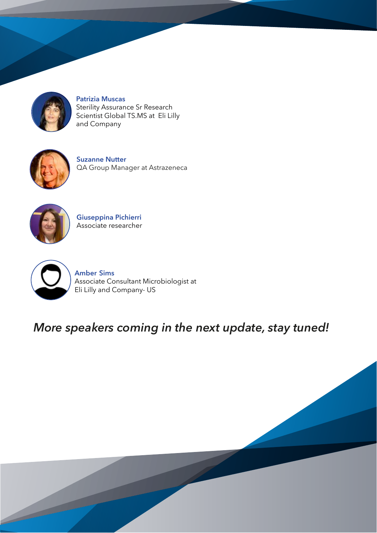

**Patrizia Muscas** Sterility Assurance Sr Research Scientist Global TS.MS at Eli Lilly and Company



**Suzanne Nutter** QA Group Manager at Astrazeneca



**Giuseppina Pichierri** Associate researcher



 $\overline{\phantom{a}}$ 

**Amber Sims** Associate Consultant Microbiologist at Eli Lilly and Company- US

## *More speakers coming in the next update, stay tuned!*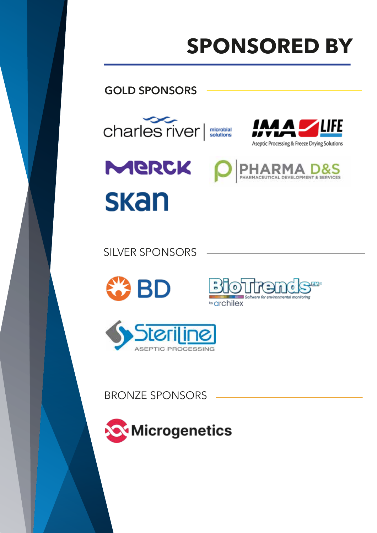## **SPONSORED BY**

### **GOLD SPONSORS**





*<u>warchilex</u>* 

**Blottend** 

ftware for environmental monitoring

SILVER SPONSORS





BRONZE SPONSORS